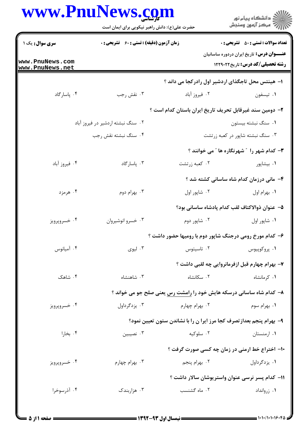| www.PnuNews.com |                                                |
|-----------------|------------------------------------------------|
|                 | حضرت على (e)· دانش راهير نيكويي براي ايمان است |

| ڪ دانشڪاه پيام نور<br>//> مرڪز آزمون وسنڊش                                                 |                                                                      | حضرت علی(ع): دانش راهبر نیکویی برای ایمان است      |                                    |
|--------------------------------------------------------------------------------------------|----------------------------------------------------------------------|----------------------------------------------------|------------------------------------|
| <b>تعداد سوالات : تستي : 50 ٪ تشريحي : 0</b>                                               |                                                                      | <b>زمان آزمون (دقیقه) : تستی : 60 ٪ تشریحی : 0</b> | سری سوال: یک ۱                     |
| <b>عنـــوان درس:</b> تاریخ ایران دردوره ساسانیان<br><b>رشته تحصیلی/کد درس:</b> تاریخ229121 |                                                                      |                                                    | www.PnuNews.com<br>www.PnuNews.net |
|                                                                                            | ۱– هینتس محل تاجگذای اردشیر اول رادرکجا می داند ؟                    |                                                    |                                    |
| ۰۱ تيسفون                                                                                  | ۰۲ فیروز آباد                                                        | ۰۳ نقش رجب                                         | ۰۴ پاسارگاد                        |
|                                                                                            | ۲– دومین سند غیرقابل تحریف تاریخ ایران باستان کدام است ؟             |                                                    |                                    |
| ۰۱ سنگ نبشته بیستون                                                                        |                                                                      | ۰۲ سنگ نبشته اردشیر در فیروز آباد                  |                                    |
| ۰۳ سنگ نبشته شاپور در کعبه زرتشت                                                           |                                                                      | ۰۴ سنگ نبشته نقش رجب                               |                                    |
| ۰۳ کدام شهر را ″ شهرنگاره ها ″ می خوانند ؟                                                 |                                                                      |                                                    |                                    |
| ۰۱ بیشاپور                                                                                 | ۰۲ کعبه زرتشت                                                        | ۰۳ پاسارگاد                                        | ۰۴ فیروز آباد                      |
| ۴- مانی درزمان کدام شاه ساسانی کشته شد ؟                                                   |                                                                      |                                                    |                                    |
| ٠١. بهرام اول                                                                              | ۰۲ شاپور اول                                                         | ۰۳ بهرام دوم                                       | ۰۴ هرمزد                           |
|                                                                                            | ۵– عنوان ذوالاكتاف لقب كدام پادشاه ساسانی بود؟                       |                                                    |                                    |
| ٠١ شاپور اول                                                                               | ۰۲ شاپور دوم                                                         | ۰۳ خسرو انوشيروان                                  | ۰۴ خسروپرويز                       |
|                                                                                            | ۶- کدام مورخ رومی درجنگ شاپور دوم با رومیها حضور داشت ؟              |                                                    |                                    |
| ۰۱ پروکوپیوس                                                                               | ۰۲ تاسیتوس                                                           | ۰۳ ليوې                                            | ۰۴ آمیانوس                         |
|                                                                                            | ۷- بهرام چهارم قبل ازفرمانروایی چه لقبی داشت ؟                       |                                                    |                                    |
| ۰۱ کرمانشاه                                                                                | ۰۲ سکانشاه                                                           | ۰۳ شاهنشاه                                         | ۰۴ شاهک                            |
|                                                                                            | ۸– کدام شاه ساسانی درسکه هایش خود را رامشت رس یعنی صلح جو می خواند ؟ |                                                    |                                    |
| ۰۱ بهرام سوم                                                                               | ۰۲ بهرام چهارم                                                       | ۰۳ یزدگرداول                                       | ۰۴ خسروپرويز                       |
|                                                                                            | ۹- بهرام پنجم بعدازتصرف کجا مرز ایرا ن را با نشاندن ستون تعیین نمود؟ |                                                    |                                    |
| ۰۱ ارمنستان                                                                                | ۰۲ سلوکیه                                                            | ۰۳ نصیبین                                          | ۰۴ بخارا                           |
|                                                                                            | ۱۰- اختراع خط ارمنی در زمان چه کسی صورت گرفت ؟                       |                                                    |                                    |
| ۰۱ يزدگرداول                                                                               | ۰۲ بهرام پنجم                                                        | ۰۳ بهرام چهارم                                     | ۰۴ خسروپرويز                       |
|                                                                                            | 11- كدام پسر نرسى عنوان واستريوشان سالار داشت ؟                      |                                                    |                                    |
| ۰۱ زروانداد                                                                                | ٠٢ ماه گشنسب                                                         | ۰۳ هزاربندک                                        | ۰۴ آذرسوخرا                        |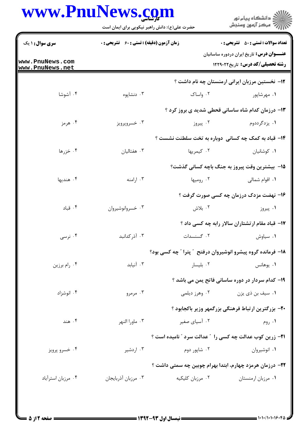## www.PnuNews.com

|                                    | حضرت علی(ع): دانش راهبر نیکویی برای ایمان است      |                                                                  | ڪ دانشڪاه پيا <sub>م</sub> نور<br>۾ سرڪز آزمون وسنڊش                                         |
|------------------------------------|----------------------------------------------------|------------------------------------------------------------------|----------------------------------------------------------------------------------------------|
| <b>سری سوال : ۱ یک</b>             | <b>زمان آزمون (دقیقه) : تستی : 60 ٪ تشریحی : 0</b> |                                                                  | <b>تعداد سوالات : تستي : 50 ٪ تشريحي : 0</b>                                                 |
| www.PnuNews.com<br>www.PnuNews.net |                                                    |                                                                  | <b>عنــــوان درس:</b> تاریخ ایران دردوره ساسانیان<br><b>رشته تحصیلی/کد درس:</b> تاریخ1۲۲۹۰۲۲ |
|                                    |                                                    |                                                                  | <b>۱۲</b> – نخستین مرزبان ایرانی ارمنستان چه نام داشت ؟                                      |
| ۰۴ آشوشا                           | ۰۳ دنشاپوه                                         | ۰۲ واساک                                                         | ۰۱ مهرشاپور                                                                                  |
|                                    |                                                    |                                                                  | ۱۳- درزمان کدام شاه ساسانی قحطی شدید ی بروز کرد ؟                                            |
| ۰۴ هرمز                            | ۰۳ خسروپرويز                                       | ۰۲ پیروز                                                         | ۰۱ یزدگرددوم                                                                                 |
|                                    |                                                    | ۱۴- قباد به کمک چه کسانی دوباره به تخت سلطنت نشست ؟              |                                                                                              |
| ۰۴ خزرها                           | ۰۳ هفتالیان                                        | ۰۲ کیمریها                                                       | ۰۱ کوشانیان                                                                                  |
|                                    |                                                    | ۱۵− بیشترین وقت پیروز به جنگ باچه کسانی گذشت؟                    |                                                                                              |
| ۰۴ هنديها                          | ۰۳ ارامنه                                          | ۰۲ رومیها                                                        | ۰۱ اقوام شمالی                                                                               |
|                                    |                                                    |                                                                  | ۱۶- نهضت مزدک درزمان چه کسی صورت گرفت ؟                                                      |
| ۰۴ قباد                            | ۰۳ خسروانوشيروان                                   | ۰۲ بلاش                                                          | ۰۱ پیروز                                                                                     |
|                                    |                                                    |                                                                  | ۱۷- قباد مقام ارتشتاران سالار رابه چه کسی داد ؟                                              |
| ۰۴ نرسی                            | ۰۳ آذر کدانبد                                      | ۰۲ گسنسدات                                                       | ۰۱ سیاوش                                                                                     |
|                                    |                                                    | 18- فرمانده گروه پیشرو انوشیروان درفتح ″ پترا ″ چه کسی بود؟      |                                                                                              |
| ۰۴ رام برزين                       | ۰۳ آنیابد                                          | ۰۲ بلیسار                                                        | ۰۱ يوهانس                                                                                    |
|                                    |                                                    |                                                                  | ۱۹- کدام سردار در دوره ساسانی فاتح یمن می باشد ؟                                             |
| ۰۴ انوشزاد                         | ۰۳ مرمرو                                           |                                                                  | ۰۱ سیف بن ذی یزن مسلمهای است. میشهای به این مورد دیلمی <b>۱</b>                              |
|                                    |                                                    |                                                                  | +٢- بزرگترین ارتباط فرهنگی بزرگمهر وزیر باکجابود ؟                                           |
| ۰۴ هند                             | ۰۳ ماورا النهر                                     | ۰۲ آسیای صغیر                                                    | ۰۱ روم                                                                                       |
|                                    |                                                    | <b>۲۱</b> - زرین کوب عدالت چه کسی را ″عدالت سرد ″ نامیده است ؟   |                                                                                              |
| ۰۴ خسرو پرويز                      | ۰۳ اردشیر                                          | ۰۲ شاپور دوم                                                     | ۰۱ انوشیروان                                                                                 |
|                                    |                                                    | <b>۲۲</b> – درزمان هرمزد چهارم، ابتدا بهرام چوبین چه سمتی داشت ؟ |                                                                                              |
| ۰۴ مرزبان استرآباد                 | ۰۳ مرزبان أذربايجان                                | ۰۲ مرزبان کلیکیه                                                 | ٠١ مرزبان ارمنستان                                                                           |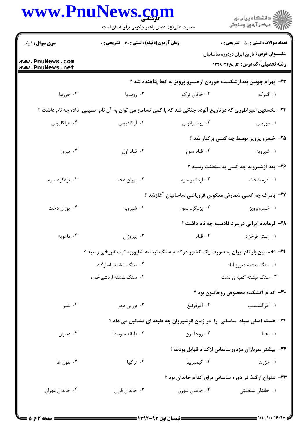|                                    | www.PnuNews.com<br>حضرت علی(ع): دانش راهبر نیکویی برای ایمان است                                          |                | الاد دانشگاه پيام نور<br>   > مرکز آزمون وسنجش                                                    |
|------------------------------------|-----------------------------------------------------------------------------------------------------------|----------------|---------------------------------------------------------------------------------------------------|
|                                    |                                                                                                           |                |                                                                                                   |
| <b>سری سوال : ۱ یک</b>             | <b>زمان آزمون (دقیقه) : تستی : 60 ٪ تشریحی : 0</b>                                                        |                | <b>تعداد سوالات : تستي : 50 ٪ تشريحي : 0</b><br><b>عنــــوان درس:</b> تاریخ ایران دردوره ساسانیان |
| www.PnuNews.com<br>www.PnuNews.net |                                                                                                           |                | رشته تحصیلی/کد درس: تاریخ ۱۲۲۹۰۲۲                                                                 |
|                                    |                                                                                                           |                | ۲۳- بهرام چوبین بعدازشکست خوردن ازخسرو پرویز به کجا پناهنده شد ؟                                  |
| ۰۴ خزرها                           | ۰۳ رومیها                                                                                                 | ۰۲ خاقان ترک   | ۰۱ گنزکه                                                                                          |
|                                    | ۲۴- نخستین امپراطوری که درتاریخ آلوده جنگی شد که با کمی تسامح می توان به آن نام صلیبی ًداد، چه نام داشت ؟ |                |                                                                                                   |
| ۰۴ هراکليوس                        | ۰۳ آرکادیوس                                                                                               | ۰۲ يوستيانوس   | ۰۱ موریس                                                                                          |
|                                    |                                                                                                           |                | ۲۵- خسرو پرویز توسط چه کسی برکنار شد ؟                                                            |
| ۰۴ پیروز                           | ۰۳ قباد اول                                                                                               | ۰۲ قباد سوم    | ۰۱ شیرویه                                                                                         |
|                                    |                                                                                                           |                | ۲۶- بعد ازشیرویه چه کسی به سلطنت رسید ؟                                                           |
| ۰۴ یزدگرد سوم                      | ۰۳ پوران دخت                                                                                              | ۰۲ اردشیر سوم  | ۰۱ آذرمیدخت                                                                                       |
|                                    |                                                                                                           |                | ۲۷- بامرگ چه کسی شمارش معکوس فروپاشی ساسانیان آغازشد ؟                                            |
| ۰۴ پوران دخت                       | ۰۳ شیرویه                                                                                                 | ۰۲ یزدگرد سوم  | ۰۱ خسروپرويز                                                                                      |
|                                    |                                                                                                           |                | ۲۸– فرمانده ایرانی درنبرد قادسیه چه نام داشت ؟                                                    |
| ۰۴ ماهویه                          | ۰۳ پیروزان                                                                                                |                | ۰۱ رستم فرخزاد مستر ۲۰ قباد                                                                       |
|                                    | ۲۹- نخستین بار نام ایران به صورت یک کشور درکدام سنگ نبشته شاپوربه ثبت تاریخی رسید ؟                       |                |                                                                                                   |
|                                    | ۰۲ سنگ نبشته یاسارگاد                                                                                     |                | ۰۱ سنگ نبشته فيروز آباد                                                                           |
|                                    | ۰۴ سنگ نبشته اردشیرخوره                                                                                   |                | ۰۳ سنگ نبشته کعبه زرتشت                                                                           |
|                                    |                                                                                                           |                | ۳۰– کدام آتشکده مخصوص روحانیون بود ؟                                                              |
| ۰۴ شیز                             | ۰۳ برزین مهر                                                                                              | ۰۲ آذرفرنبغ    | ۰۱ آذرگشنسب                                                                                       |
|                                    |                                                                                                           |                | <b>۳۱</b> - هسته اصلی سپاه  ساسانی  را  در زمان انوشیروان چه طبقه ای تشکیل می داد ؟               |
| ۰۴ دبيران                          | ۰۳ طبقه متوسط                                                                                             | ۰۲ روحانیون    | ۰۱ نجبا                                                                                           |
|                                    |                                                                                                           |                | ۳۲- بیشتر سربازان مزدورساسانی ازکدام قبایل بودند ؟                                                |
| ۰۴ هون ها                          | ۰۳ ترکها                                                                                                  | ۰۲ کیمیریها    | ۰۱ خزرها                                                                                          |
|                                    |                                                                                                           |                | ۳۳- عنوان ارگبذ در دوره ساسانی برای کدام خاندان بود ؟                                             |
| ۰۴ خاندان مهران                    | ۰۳ خاندان قارن                                                                                            | ۰۲ خاندان سورن | ۰۱ خاندان سلطنتی                                                                                  |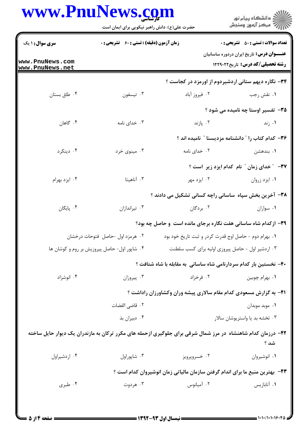## www.PnuNews.com

|                                    | www.PnuNews.com<br>حضرت علی(ع): دانش راهبر نیکویی برای ایمان است |                                                                                                             | ڪ دانشڪاه پيا <sub>م</sub> نور<br>(7 مرڪز آزمون وسنڊش                                 |  |
|------------------------------------|------------------------------------------------------------------|-------------------------------------------------------------------------------------------------------------|---------------------------------------------------------------------------------------|--|
| <b>سری سوال : ۱ یک</b>             | <b>زمان آزمون (دقیقه) : تستی : 60 ٪ تشریحی : 0</b>               |                                                                                                             | <b>تعداد سوالات : تستی : 50 ٪ تشریحی : 0</b>                                          |  |
| www.PnuNews.com<br>www.PnuNews.net |                                                                  |                                                                                                             | <b>عنـــوان درس:</b> تاریخ ایران دردوره ساسانیان<br>رشته تحصیلی/کد درس: تاریخ ۱۲۲۹۰۲۲ |  |
|                                    |                                                                  | ۳۴- نگاره دیهم ستانی اردشیردوم از اورمزد در کجاست ؟                                                         |                                                                                       |  |
| ۰۴ طاق بستان                       | ۰۳ تيسفون                                                        | ۰۲ فیروز آباد                                                                                               | ۰۱ نقش رجب                                                                            |  |
|                                    |                                                                  |                                                                                                             | ۳۵- تفسیر اوستا چه نامیده می شود ؟                                                    |  |
| ۰۴ گاهان                           | ۰۳ خدای نامه                                                     | ۰۲ پازند                                                                                                    | ۰۱ زند                                                                                |  |
|                                    |                                                                  |                                                                                                             | ۳۶- کدام کتاب را " دانشنامه مزدیسنا " نامیده اند ؟                                    |  |
| ۰۴ دينکرد                          | ۰۳ مینوی خرد                                                     | ۰۲ خدای نامه                                                                                                | ۰۱ بندهشن                                                                             |  |
|                                    |                                                                  |                                                                                                             | ٣٧- ٪ خدای زمان ٪ نام کدام ایزد زیر است ؟                                             |  |
| ۰۴ ایزد بهرام                      | ۰۳ آناهیتا                                                       | ۰۲ ایزد مهر                                                                                                 | ۰۱ ایزد زروان                                                                         |  |
|                                    |                                                                  | ۳۸- آخرین بخش سپاه ًساسانی راچه کسانی تشکیل می دادند ؟                                                      |                                                                                       |  |
| ۰۴ پایگان                          | ۰۳ تیراندازان                                                    | ۰۲ بردگان                                                                                                   | ٠١ سواران                                                                             |  |
|                                    |                                                                  | 39- ازکدام شاه ساسانی هفت نگاره برجای مانده است و حاصل چه بود؟                                              |                                                                                       |  |
|                                    | ۰۲ هرمزد اول -حاصل فتوحات درخشان                                 | ۰۱ بهرام دوم - حاصل اوج قدرت کردر و ثبت تاریخ خود بود                                                       |                                                                                       |  |
|                                    | ۰۴ شاپور اول- حاصل پیروزیش بر روم و کوشان ها                     | ۰۳ اردشیر اول - حاصل پیروزی اولیه برای کسب سلطنت                                                            |                                                                                       |  |
|                                    |                                                                  | ۴۰- نخستین بار کدام سردارنامی شاه ساسانی به مقابله با شاه شتافت ؟                                           |                                                                                       |  |
| ۰۴ انوشزاد                         | ۰۳ پیروزان                                                       | ۰۲ فرخزاد                                                                                                   | ٠١. بهرام چوبين                                                                       |  |
|                                    |                                                                  | ۴۱– به گزارش مسعودی کدام مقام سالاری پیشه وران وکشاورزان راداشت ؟                                           |                                                                                       |  |
|                                    | ۰۲ قاضی القضات                                                   |                                                                                                             | ٠١ موبد موبدان                                                                        |  |
|                                    | ۰۴ دبیران بذ                                                     |                                                                                                             | ۰۳ تخشه بد یا واستریوشان سالار                                                        |  |
|                                    |                                                                  | ۴۲– درزمان کدام شاهنشاه در مرز شمال شرقی برای جلوگیری ازحمله های مکرر ترکان به مازندران یک دیوار حایل ساخته | شد ؟                                                                                  |  |
| ۰۴ اردشيراول                       | ۰۳ شاپوراول                                                      | ۰۲ خسروپرويز                                                                                                | ٠١ انوشيروان                                                                          |  |
|                                    |                                                                  | ۴۳- بهترین منبع ما برای اندام گرفتن سازمان مالیاتی زمان انوشیروان کدام است ؟                                |                                                                                       |  |
| ۰۴ طبری                            | ۰۳ هردوت                                                         | ۰۲ آمیانوس                                                                                                  | ۰۱ آنابازیس                                                                           |  |